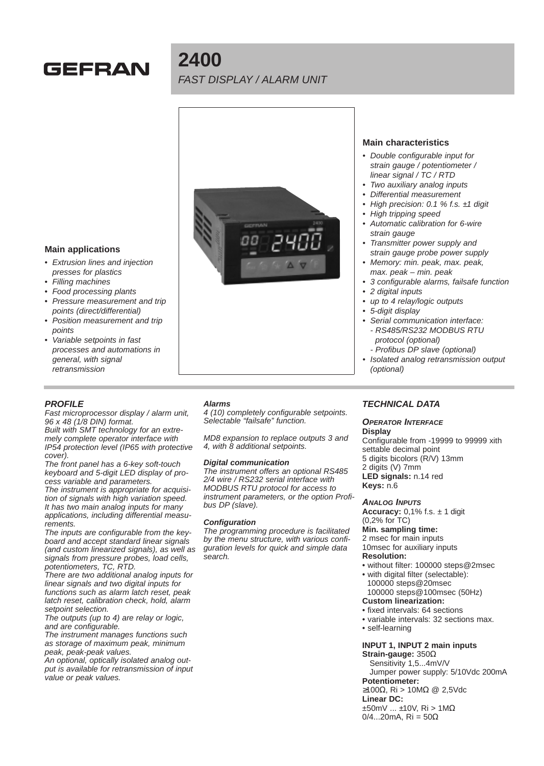# GEFRAN

## **2400** FAST DISPLAY / ALARM UNIT



#### **Main applications**

- Extrusion lines and injection presses for plastics
- Filling machines
- Food processing plants
- Pressure measurement and trip points (direct/differential)
- Position measurement and trip points
- Variable setpoints in fast processes and automations in general, with signal retransmission

## **PROFILE**

Fast microprocessor display / alarm unit, 96 x 48 (1/8 DIN) format.

Built with SMT technology for an extremely complete operator interface with IP54 protection level (IP65 with protective cover).

The front panel has a 6-key soft-touch keyboard and 5-digit LED display of process variable and parameters.

The instrument is appropriate for acquisition of signals with high variation speed. It has two main analog inputs for many applications, including differential measurements.

The inputs are configurable from the keyboard and accept standard linear signals (and custom linearized signals), as well as signals from pressure probes, load cells, potentiometers, TC, RTD.

There are two additional analog inputs for linear signals and two digital inputs for functions such as alarm latch reset, peak latch reset, calibration check, hold, alarm setpoint selection.

The outputs (up to 4) are relay or logic, and are configurable.

The instrument manages functions such as storage of maximum peak, minimum peak, peak-peak values.

An optional, optically isolated analog output is available for retransmission of input value or peak values.

## **Alarms**

4 (10) completely configurable setpoints. Selectable "failsafe" function.

MD8 expansion to replace outputs 3 and 4, with 8 additional setpoints.

#### **Digital communication**

The instrument offers an optional RS485 2/4 wire / RS232 serial interface with MODBUS RTU protocol for access to instrument parameters, or the option Profibus DP (slave).

#### **Configuration**

The programming procedure is facilitated by the menu structure, with various configuration levels for quick and simple data search.

## **Main characteristics**

- Double configurable input for strain gauge / potentiometer / linear signal / TC / RTD
- Two auxiliary analog inputs
- Differential measurement
- High precision: 0.1 % f.s.  $\pm 1$  digit
- High tripping speed
- Automatic calibration for 6-wire strain gauge
- Transmitter power supply and strain gauge probe power supply
- Memory: min. peak, max. peak, max. peak – min. peak
- 3 configurable alarms, failsafe function
- 2 digital inputs
- up to 4 relay/logic outputs
- 5-digit display
- Serial communication interface: - RS485/RS232 MODBUS RTU protocol (optional)
- Profibus DP slave (optional) • Isolated analog retransmission output (optional)

## **TECHNICAL DATA**

#### **OPERATOR INTERFACE Display**

Configurable from -19999 to 99999 xith settable decimal point 5 digits bicolors (R/V) 13mm 2 digits (V) 7mm **LED signals:** n.14 red **Keys:** n.6

#### **ANALOG INPUTS**

**Accuracy:** 0,1% f.s. ± 1 digit (0,2% for TC)

#### **Min. sampling time:**

2 msec for main inputs 10msec for auxiliary inputs

## **Resolution:**

- without filter: 100000 steps@2msec
- with digital filter (selectable): 100000 steps@20msec 100000 steps@100msec (50Hz)

## **Custom linearization:**

- fixed intervals: 64 sections
- variable intervals: 32 sections max.
- self-learning

## **INPUT 1, INPUT 2 main inputs**

**Strain-gauge:** 350Ω Sensitivity 1,5...4mV/V Jumper power supply: 5/10Vdc 200mA **Potentiometer:** ≥100Ω, Ri > 10MΩ @ 2,5Vdc **Linear DC:** ±50mV ... ±10V, Ri > 1MΩ  $0/4$ ...20mA, Ri = 50Ω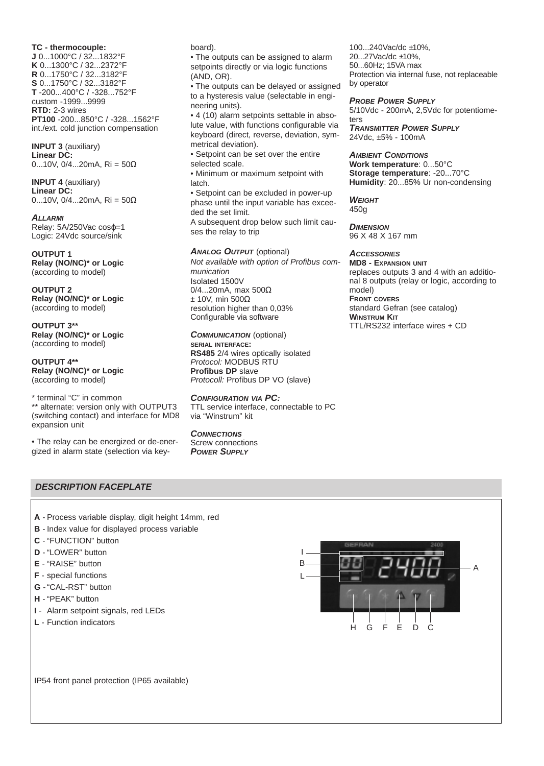**TC - thermocouple: J** 0...1000°C / 32...1832°F **K** 0...1300°C / 32...2372°F **R** 0...1750°C / 32...3182°F **S** 0...1750°C / 32...3182°F **T** -200...400°C / -328...752°F custom -1999...9999 **RTD:** 2-3 wires **PT100** -200...850°C / -328...1562°F int./ext. cold junction compensation

**INPUT 3** (auxiliary) **Linear DC:** 0...10V,  $0/4$ ...20mA, Ri = 50Ω

**INPUT 4** (auxiliary) **Linear DC:** 0...10V, 0/4...20mA, Ri =  $50Ω$ 

**ALLARMI** Relay: 5A/250Vac cosϕ=1 Logic: 24Vdc source/sink

**OUTPUT 1 Relay (NO/NC)\* or Logic** (according to model)

**OUTPUT 2 Relay (NO/NC)\* or Logic** (according to model)

**OUTPUT 3\*\* Relay (NO/NC)\* or Logic** (according to model)

**OUTPUT 4\*\* Relay (NO/NC)\* or Logic** (according to model)

\* terminal "C" in common \*\* alternate: version only with OUTPUT3 (switching contact) and interface for MD8 expansion unit

• The relay can be energized or de-energized in alarm state (selection via key-

#### board).

• The outputs can be assigned to alarm setpoints directly or via logic functions (AND, OR).

• The outputs can be delayed or assigned to a hysteresis value (selectable in engineering units).

• 4 (10) alarm setpoints settable in absolute value, with functions configurable via keyboard (direct, reverse, deviation, symmetrical deviation).

• Setpoint can be set over the entire selected scale.

• Minimum or maximum setpoint with latch.

• Setpoint can be excluded in power-up phase until the input variable has exceeded the set limit.

A subsequent drop below such limit causes the relay to trip

#### **ANALOG OUTPUT** (optional)

Not available with option of Profibus communication Isolated 1500V 0/4...20mA, max 500Ω  $±$  10V, min 500Ω resolution higher than 0,03% Configurable via software

**COMMUNICATION** (optional) **SERIAL INTERFACE: RS485** 2/4 wires optically isolated Protocol: MODBUS RTU **Profibus DP** slave Protocoll: Profibus DP VO (slave)

**CONFIGURATION VIA PC:** TTL service interface, connectable to PC via "Winstrum" kit

**CONNECTIONS** Screw connections **POWER SUPPLY**

100...240Vac/dc ±10%, 20...27Vac/dc ±10%, 50...60Hz; 15VA max Protection via internal fuse, not replaceable by operator

#### **PROBE POWER SUPPLY**

5/10Vdc - 200mA, 2,5Vdc for potentiometers

**TRANSMITTER POWER SUPPLY** 24Vdc, ±5% - 100mA

**AMBIENT CONDITIONS Work temperature**: 0...50°C

**Storage temperature**: -20...70°C **Humidity**: 20...85% Ur non-condensing

#### **WEIGHT**

450g

**DIMENSION** 96 X 48 X 167 mm

## **ACCESSORIES**

**MD8 - EXPANSION UNIT** replaces outputs 3 and 4 with an additional 8 outputs (relay or logic, according to model) **FRONT COVERS** standard Gefran (see catalog) **WINSTRUM KIT** TTL/RS232 interface wires + CD

## **DESCRIPTION FACEPLATE**



- **B**  Index value for displayed process variable
- **C**  "FUNCTION" button
- **D** "LOWER" button
- **E**  "RAISE" button
- **F** special functions
- **G** -"CAL-RST" button
- **H** "PEAK" button
- **I** Alarm setpoint signals, red LEDs
- **L** Function indicators



IP54 front panel protection (IP65 available)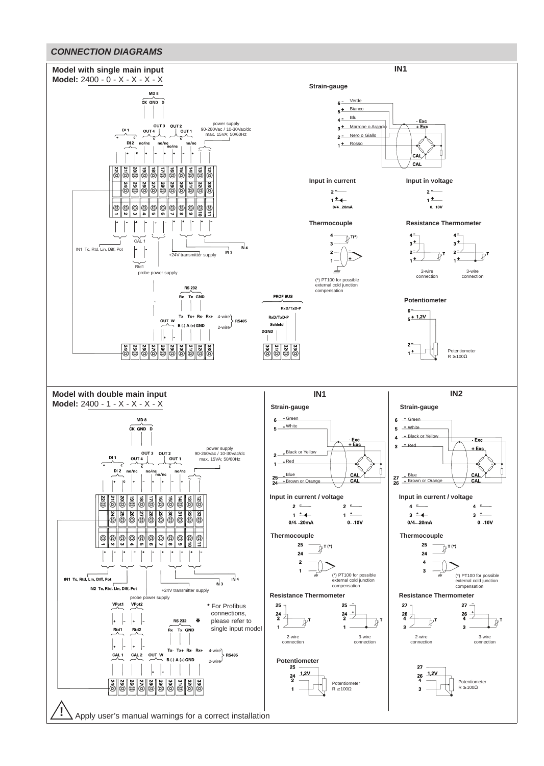## **CONNECTION DIAGRAMS**